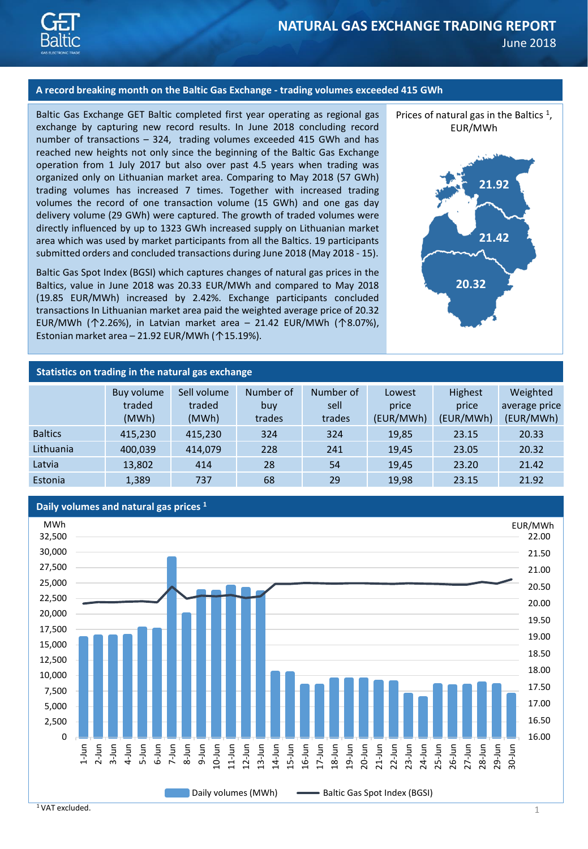

## **A record breaking month on the Baltic Gas Exchange - trading volumes exceeded 415 GWh**

Baltic Gas Exchange GET Baltic completed first year operating as regional gas exchange by capturing new record results. In June 2018 concluding record number of transactions – 324, trading volumes exceeded 415 GWh and has reached new heights not only since the beginning of the Baltic Gas Exchange operation from 1 July 2017 but also over past 4.5 years when trading was organized only on Lithuanian market area. Comparing to May 2018 (57 GWh) trading volumes has increased 7 times. Together with increased trading volumes the record of one transaction volume (15 GWh) and one gas day delivery volume (29 GWh) were captured. The growth of traded volumes were directly influenced by up to 1323 GWh increased supply on Lithuanian market area which was used by market participants from all the Baltics. 19 participants submitted orders and concluded transactions during June 2018 (May 2018 - 15).

Baltic Gas Spot Index (BGSI) which captures changes of natural gas prices in the Baltics, value in June 2018 was 20.33 EUR/MWh and compared to May 2018 (19.85 EUR/MWh) increased by 2.42%. Exchange participants concluded transactions In Lithuanian market area paid the weighted average price of 20.32 EUR/MWh (↑2.26%), in Latvian market area – 21.42 EUR/MWh (↑8.07%), Estonian market area – 21.92 EUR/MWh ( $\uparrow$ 15.19%).





## **Statistics on trading in the natural gas exchange**

|                | Buy volume<br>traded<br>(MWh) | Sell volume<br>traded<br>(MWh) | Number of<br>buy<br>trades | Number of<br>sell<br>trades | Lowest<br>price<br>(EUR/MWh) | <b>Highest</b><br>price<br>(EUR/MWh) | Weighted<br>average price<br>(EUR/MWh) |
|----------------|-------------------------------|--------------------------------|----------------------------|-----------------------------|------------------------------|--------------------------------------|----------------------------------------|
| <b>Baltics</b> | 415,230                       | 415,230                        | 324                        | 324                         | 19,85                        | 23.15                                | 20.33                                  |
| Lithuania      | 400,039                       | 414,079                        | 228                        | 241                         | 19.45                        | 23.05                                | 20.32                                  |
| Latvia         | 13,802                        | 414                            | 28                         | 54                          | 19,45                        | 23.20                                | 21.42                                  |
| Estonia        | 1,389                         | 737                            | 68                         | 29                          | 19,98                        | 23.15                                | 21.92                                  |



<sup>1</sup> VAT excluded.